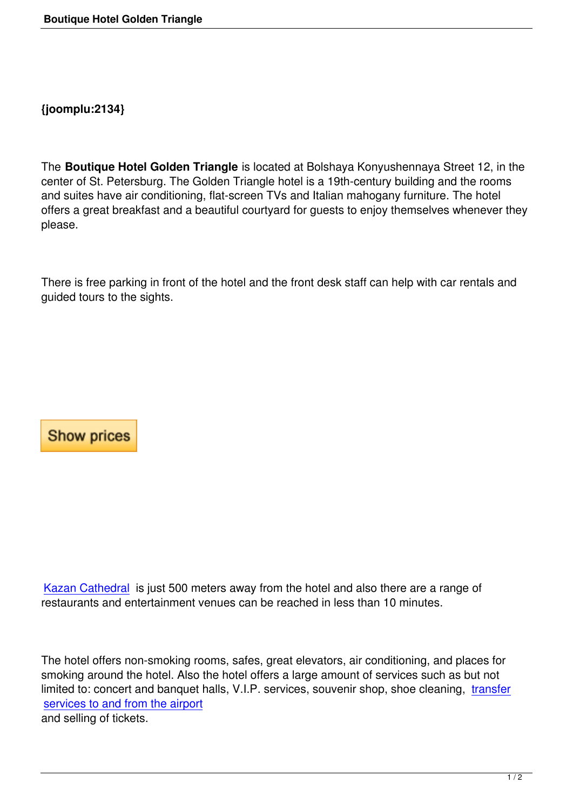The **Boutique Hotel Golden Triangle** is located at Bolshaya Konyushennaya Street 12, in the center of St. Petersburg. The Golden Triangle hotel is a 19th-century building and the rooms and suites have air conditioning, flat-screen TVs and Italian mahogany furniture. The hotel offers a great breakfast and a beautiful courtyard for guests to enjoy themselves whenever they please.

There is free parking in front of the hotel and the front desk staff can help with car rentals and guided tours to the sights.

## **Show prices**

Kazan Cathedral is just 500 meters away from the hotel and also there are a range of restaurants and entertainment venues can be reached in less than 10 minutes.

The hotel offers non-smoking rooms, safes, great elevators, air conditioning, and places for smoking around the hotel. Also the hotel offers a large amount of services such as but not limited to: concert and banquet halls, V.I.P. services, souvenir shop, shoe cleaning, transfer services to and from the airport and selling of tickets.